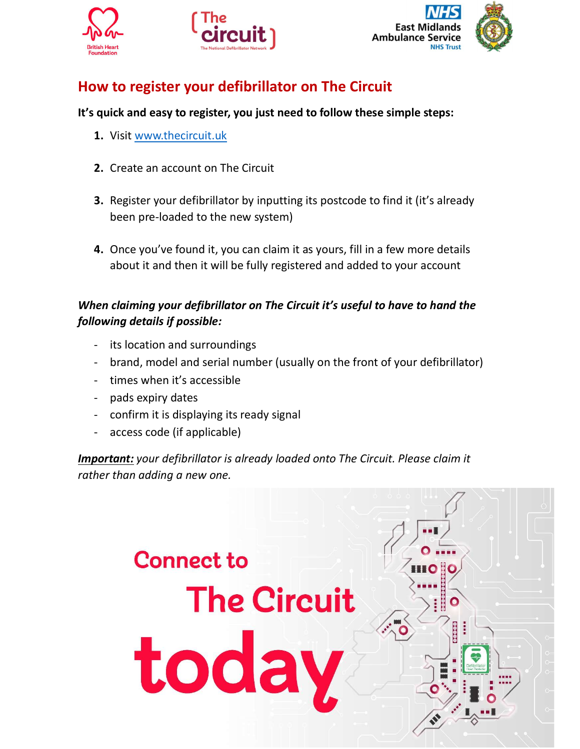





## How to register your defibrillator on The Circuit

#### It's quick and easy to register, you just need to follow these simple steps:

- 1. Visit www.thecircuit.uk
- 2. Create an account on The Circuit
- 3. Register your defibrillator by inputting its postcode to find it (it's already been pre-loaded to the new system)
- 4. Once you've found it, you can claim it as yours, fill in a few more details about it and then it will be fully registered and added to your account

#### When claiming your defibrillator on The Circuit it's useful to have to hand the following details if possible:

- its location and surroundings
- brand, model and serial number (usually on the front of your defibrillator)
- times when it's accessible
- pads expiry dates
- confirm it is displaying its ready signal
- access code (if applicable)

**Important:** your defibrillator is already loaded onto The Circuit. Please claim it rather than adding a new one.